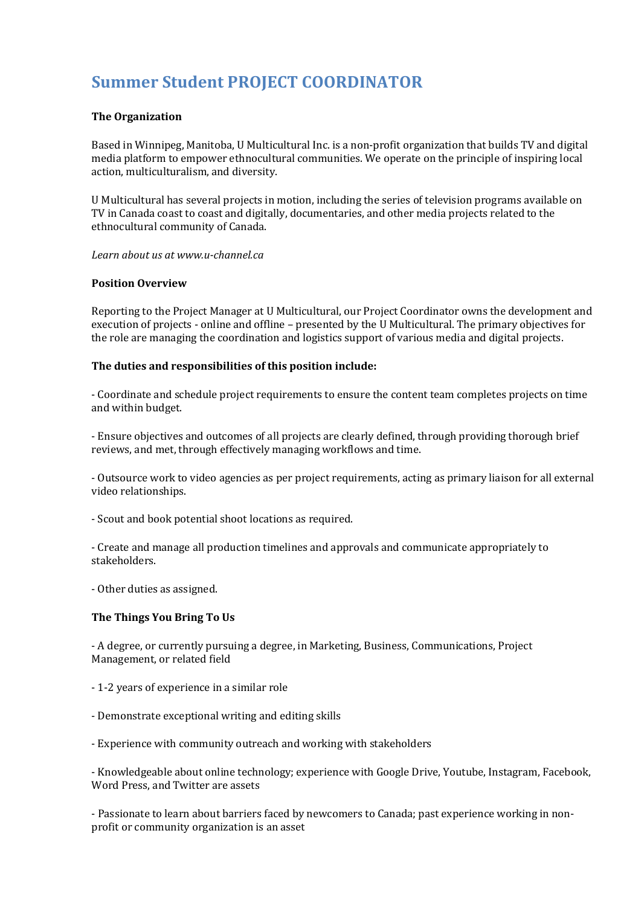# **Summer Student PROJECT COORDINATOR**

#### **The Organization**

Based in Winnipeg, Manitoba, U Multicultural Inc. is a non-profit organization that builds TV and digital media platform to empower ethnocultural communities. We operate on the principle of inspiring local action, multiculturalism, and diversity.

U Multicultural has several projects in motion, including the series of television programs available on TV in Canada coast to coast and digitally, documentaries, and other media projects related to the ethnocultural community of Canada.

*Learn about us at www.u-channel.ca*

#### **Position Overview**

Reporting to the Project Manager at U Multicultural, our Project Coordinator owns the development and execution of projects - online and offline – presented by the U Multicultural. The primary objectives for the role are managing the coordination and logistics support of various media and digital projects.

#### **The duties and responsibilities of this position include:**

- Coordinate and schedule project requirements to ensure the content team completes projects on time and within budget.

- Ensure objectives and outcomes of all projects are clearly defined, through providing thorough brief reviews, and met, through effectively managing workflows and time.

- Outsource work to video agencies as per project requirements, acting as primary liaison for all external video relationships.

- Scout and book potential shoot locations as required.

- Create and manage all production timelines and approvals and communicate appropriately to stakeholders.

- Other duties as assigned.

#### **The Things You Bring To Us**

- A degree, or currently pursuing a degree, in Marketing, Business, Communications, Project Management, or related field

- 1-2 years of experience in a similar role
- Demonstrate exceptional writing and editing skills
- Experience with community outreach and working with stakeholders

- Knowledgeable about online technology; experience with Google Drive, Youtube, Instagram, Facebook, Word Press, and Twitter are assets

- Passionate to learn about barriers faced by newcomers to Canada; past experience working in nonprofit or community organization is an asset